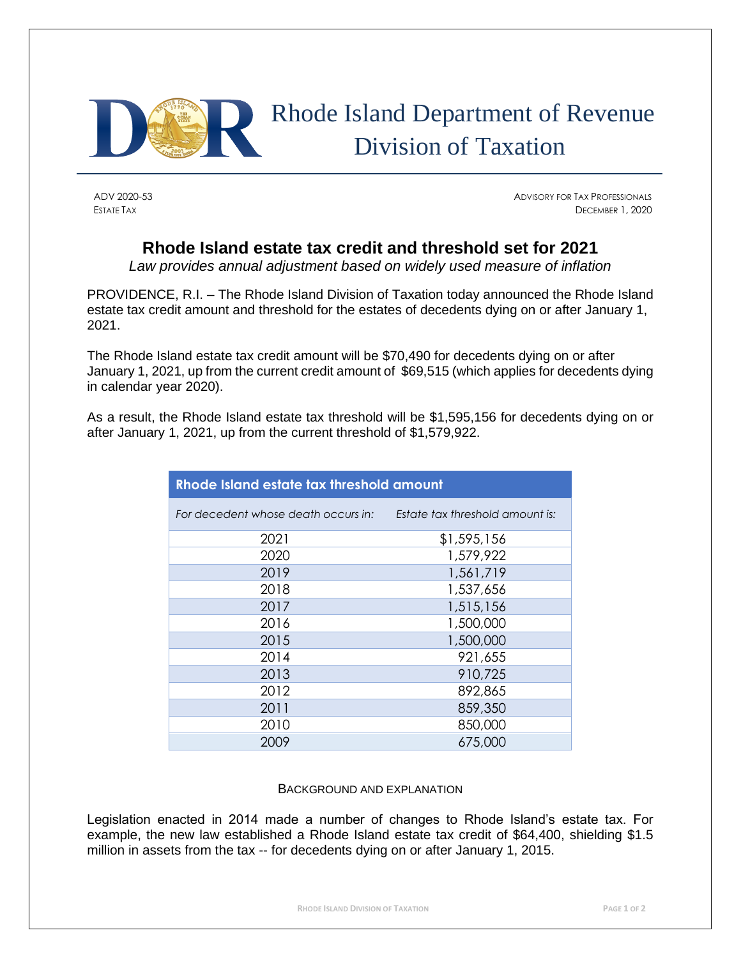

## Rhode Island Department of Revenue Division of Taxation

ADV 2020-53 ADVISORY FOR TAX PROFESSIONALS ESTATE TAX DECEMBER 1, 2020

## **Rhode Island estate tax credit and threshold set for 2021**

*Law provides annual adjustment based on widely used measure of inflation*

PROVIDENCE, R.I. – The Rhode Island Division of Taxation today announced the Rhode Island estate tax credit amount and threshold for the estates of decedents dying on or after January 1, 2021.

The Rhode Island estate tax credit amount will be \$70,490 for decedents dying on or after January 1, 2021, up from the current credit amount of \$69,515 (which applies for decedents dying in calendar year 2020).

As a result, the Rhode Island estate tax threshold will be \$1,595,156 for decedents dying on or after January 1, 2021, up from the current threshold of \$1,579,922.

| Rhode Island estate tax threshold amount |                                 |  |
|------------------------------------------|---------------------------------|--|
| For decedent whose death occurs in:      | Estate tax threshold amount is: |  |
| 2021                                     | \$1,595,156                     |  |
| 2020                                     | 1,579,922                       |  |
| 2019                                     | 1,561,719                       |  |
| 2018                                     | 1,537,656                       |  |
| 2017                                     | 1,515,156                       |  |
| 2016                                     | 1,500,000                       |  |
| 2015                                     | 1,500,000                       |  |
| 2014                                     | 921,655                         |  |
| 2013                                     | 910,725                         |  |
| 2012                                     | 892,865                         |  |
| 2011                                     | 859,350                         |  |
| 2010                                     | 850,000                         |  |
| 2009                                     | 675,000                         |  |

## BACKGROUND AND EXPLANATION

Legislation enacted in 2014 made a number of changes to Rhode Island's estate tax. For example, the new law established a Rhode Island estate tax credit of \$64,400, shielding \$1.5 million in assets from the tax -- for decedents dying on or after January 1, 2015.